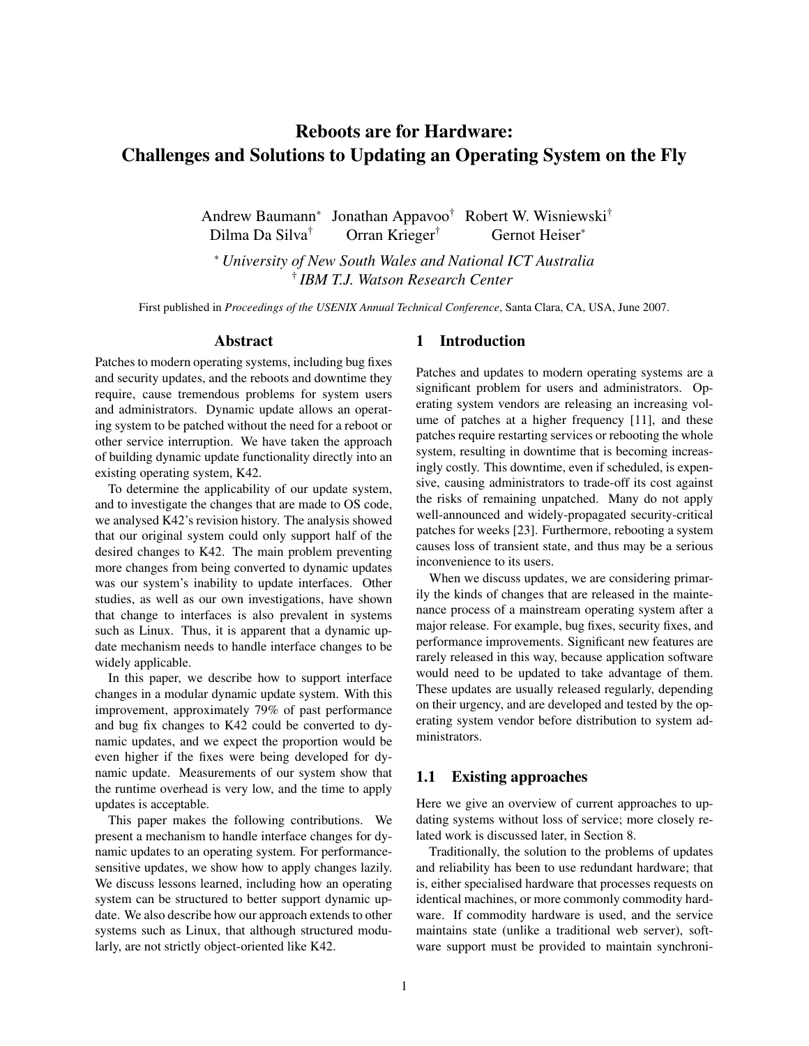# Reboots are for Hardware: Challenges and Solutions to Updating an Operating System on the Fly

Andrew Baumann<sup>∗</sup> Jonathan Appavoo† Robert W. Wisniewski† Dilma Da Silva<sup>†</sup> Orran Krieger<sup>†</sup> Gernot Heiser<sup>∗</sup>

<sup>∗</sup> *University of New South Wales and National ICT Australia* † *IBM T.J. Watson Research Center*

First published in *Proceedings of the USENIX Annual Technical Conference*, Santa Clara, CA, USA, June 2007.

#### Abstract

Patches to modern operating systems, including bug fixes and security updates, and the reboots and downtime they require, cause tremendous problems for system users and administrators. Dynamic update allows an operating system to be patched without the need for a reboot or other service interruption. We have taken the approach of building dynamic update functionality directly into an existing operating system, K42.

To determine the applicability of our update system, and to investigate the changes that are made to OS code, we analysed K42's revision history. The analysis showed that our original system could only support half of the desired changes to K42. The main problem preventing more changes from being converted to dynamic updates was our system's inability to update interfaces. Other studies, as well as our own investigations, have shown that change to interfaces is also prevalent in systems such as Linux. Thus, it is apparent that a dynamic update mechanism needs to handle interface changes to be widely applicable.

In this paper, we describe how to support interface changes in a modular dynamic update system. With this improvement, approximately 79% of past performance and bug fix changes to K42 could be converted to dynamic updates, and we expect the proportion would be even higher if the fixes were being developed for dynamic update. Measurements of our system show that the runtime overhead is very low, and the time to apply updates is acceptable.

This paper makes the following contributions. We present a mechanism to handle interface changes for dynamic updates to an operating system. For performancesensitive updates, we show how to apply changes lazily. We discuss lessons learned, including how an operating system can be structured to better support dynamic update. We also describe how our approach extends to other systems such as Linux, that although structured modularly, are not strictly object-oriented like K42.

#### 1 Introduction

Patches and updates to modern operating systems are a significant problem for users and administrators. Operating system vendors are releasing an increasing volume of patches at a higher frequency [11], and these patches require restarting services or rebooting the whole system, resulting in downtime that is becoming increasingly costly. This downtime, even if scheduled, is expensive, causing administrators to trade-off its cost against the risks of remaining unpatched. Many do not apply well-announced and widely-propagated security-critical patches for weeks [23]. Furthermore, rebooting a system causes loss of transient state, and thus may be a serious inconvenience to its users.

When we discuss updates, we are considering primarily the kinds of changes that are released in the maintenance process of a mainstream operating system after a major release. For example, bug fixes, security fixes, and performance improvements. Significant new features are rarely released in this way, because application software would need to be updated to take advantage of them. These updates are usually released regularly, depending on their urgency, and are developed and tested by the operating system vendor before distribution to system administrators.

### 1.1 Existing approaches

Here we give an overview of current approaches to updating systems without loss of service; more closely related work is discussed later, in Section 8.

Traditionally, the solution to the problems of updates and reliability has been to use redundant hardware; that is, either specialised hardware that processes requests on identical machines, or more commonly commodity hardware. If commodity hardware is used, and the service maintains state (unlike a traditional web server), software support must be provided to maintain synchroni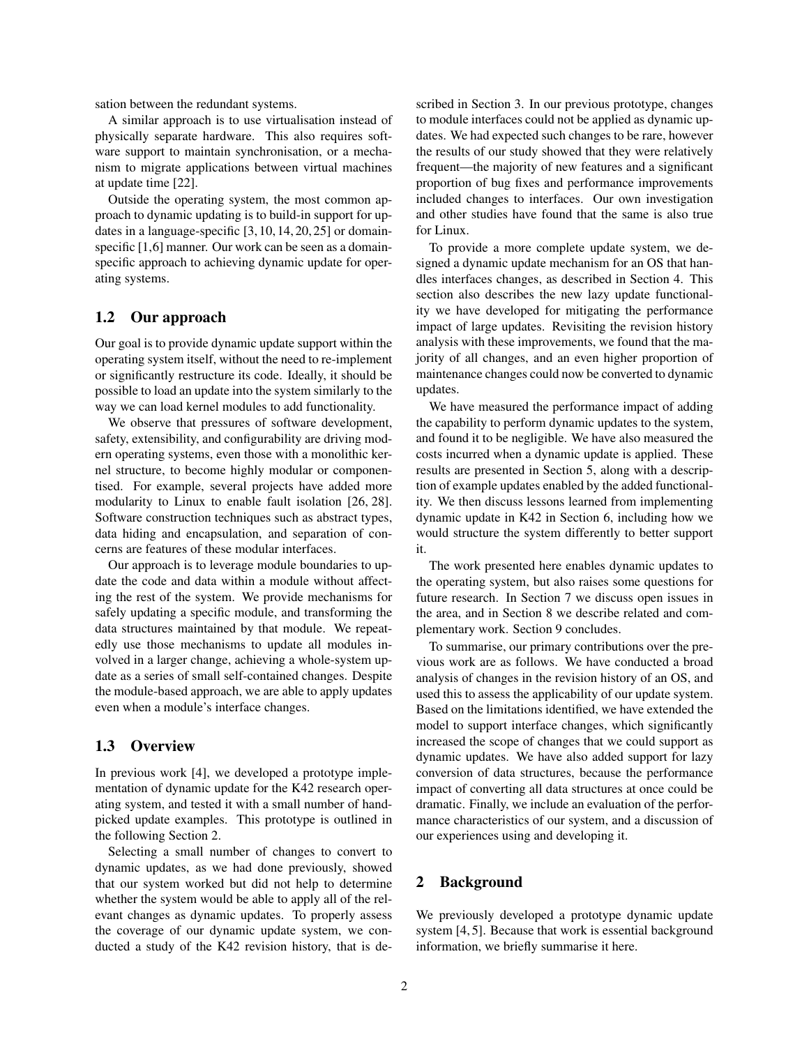sation between the redundant systems.

A similar approach is to use virtualisation instead of physically separate hardware. This also requires software support to maintain synchronisation, or a mechanism to migrate applications between virtual machines at update time [22].

Outside the operating system, the most common approach to dynamic updating is to build-in support for updates in a language-specific [3, 10, 14, 20, 25] or domainspecific [1,6] manner. Our work can be seen as a domainspecific approach to achieving dynamic update for operating systems.

### 1.2 Our approach

Our goal is to provide dynamic update support within the operating system itself, without the need to re-implement or significantly restructure its code. Ideally, it should be possible to load an update into the system similarly to the way we can load kernel modules to add functionality.

We observe that pressures of software development, safety, extensibility, and configurability are driving modern operating systems, even those with a monolithic kernel structure, to become highly modular or componentised. For example, several projects have added more modularity to Linux to enable fault isolation [26, 28]. Software construction techniques such as abstract types, data hiding and encapsulation, and separation of concerns are features of these modular interfaces.

Our approach is to leverage module boundaries to update the code and data within a module without affecting the rest of the system. We provide mechanisms for safely updating a specific module, and transforming the data structures maintained by that module. We repeatedly use those mechanisms to update all modules involved in a larger change, achieving a whole-system update as a series of small self-contained changes. Despite the module-based approach, we are able to apply updates even when a module's interface changes.

#### 1.3 Overview

In previous work [4], we developed a prototype implementation of dynamic update for the K42 research operating system, and tested it with a small number of handpicked update examples. This prototype is outlined in the following Section 2.

Selecting a small number of changes to convert to dynamic updates, as we had done previously, showed that our system worked but did not help to determine whether the system would be able to apply all of the relevant changes as dynamic updates. To properly assess the coverage of our dynamic update system, we conducted a study of the K42 revision history, that is described in Section 3. In our previous prototype, changes to module interfaces could not be applied as dynamic updates. We had expected such changes to be rare, however the results of our study showed that they were relatively frequent—the majority of new features and a significant proportion of bug fixes and performance improvements included changes to interfaces. Our own investigation and other studies have found that the same is also true for Linux.

To provide a more complete update system, we designed a dynamic update mechanism for an OS that handles interfaces changes, as described in Section 4. This section also describes the new lazy update functionality we have developed for mitigating the performance impact of large updates. Revisiting the revision history analysis with these improvements, we found that the majority of all changes, and an even higher proportion of maintenance changes could now be converted to dynamic updates.

We have measured the performance impact of adding the capability to perform dynamic updates to the system, and found it to be negligible. We have also measured the costs incurred when a dynamic update is applied. These results are presented in Section 5, along with a description of example updates enabled by the added functionality. We then discuss lessons learned from implementing dynamic update in K42 in Section 6, including how we would structure the system differently to better support it.

The work presented here enables dynamic updates to the operating system, but also raises some questions for future research. In Section 7 we discuss open issues in the area, and in Section 8 we describe related and complementary work. Section 9 concludes.

To summarise, our primary contributions over the previous work are as follows. We have conducted a broad analysis of changes in the revision history of an OS, and used this to assess the applicability of our update system. Based on the limitations identified, we have extended the model to support interface changes, which significantly increased the scope of changes that we could support as dynamic updates. We have also added support for lazy conversion of data structures, because the performance impact of converting all data structures at once could be dramatic. Finally, we include an evaluation of the performance characteristics of our system, and a discussion of our experiences using and developing it.

### 2 Background

We previously developed a prototype dynamic update system [4, 5]. Because that work is essential background information, we briefly summarise it here.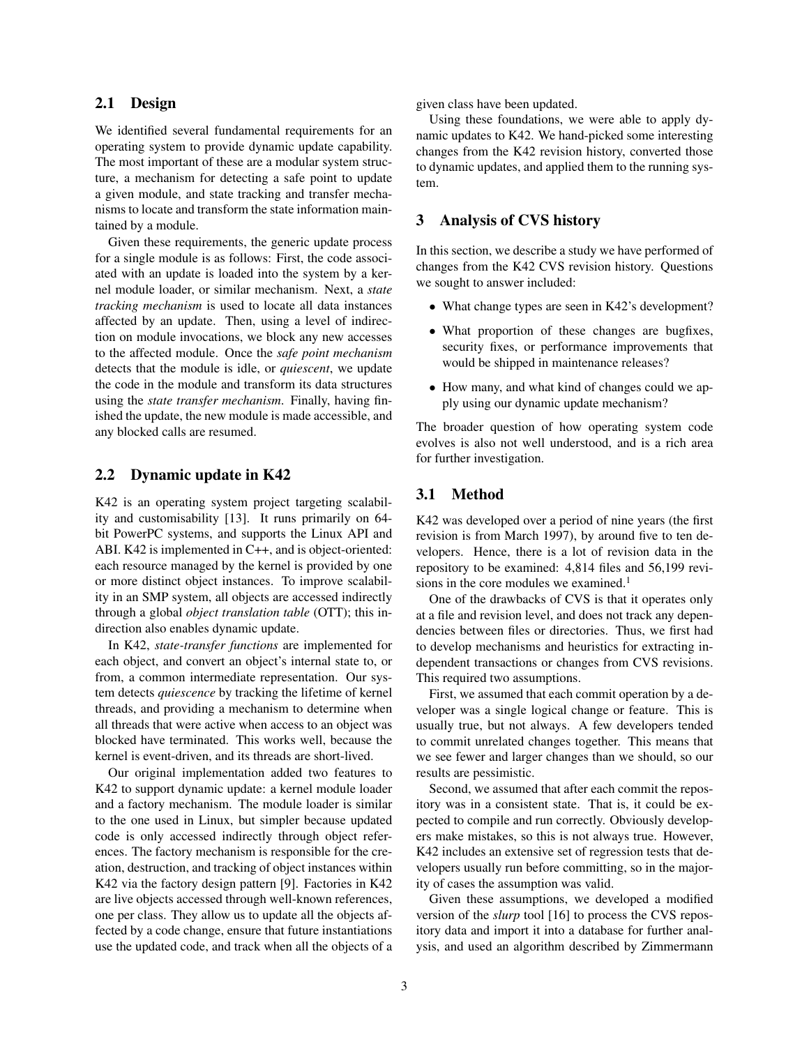### 2.1 Design

We identified several fundamental requirements for an operating system to provide dynamic update capability. The most important of these are a modular system structure, a mechanism for detecting a safe point to update a given module, and state tracking and transfer mechanisms to locate and transform the state information maintained by a module.

Given these requirements, the generic update process for a single module is as follows: First, the code associated with an update is loaded into the system by a kernel module loader, or similar mechanism. Next, a *state tracking mechanism* is used to locate all data instances affected by an update. Then, using a level of indirection on module invocations, we block any new accesses to the affected module. Once the *safe point mechanism* detects that the module is idle, or *quiescent*, we update the code in the module and transform its data structures using the *state transfer mechanism*. Finally, having finished the update, the new module is made accessible, and any blocked calls are resumed.

#### 2.2 Dynamic update in K42

K42 is an operating system project targeting scalability and customisability [13]. It runs primarily on 64 bit PowerPC systems, and supports the Linux API and ABI. K42 is implemented in C++, and is object-oriented: each resource managed by the kernel is provided by one or more distinct object instances. To improve scalability in an SMP system, all objects are accessed indirectly through a global *object translation table* (OTT); this indirection also enables dynamic update.

In K42, *state-transfer functions* are implemented for each object, and convert an object's internal state to, or from, a common intermediate representation. Our system detects *quiescence* by tracking the lifetime of kernel threads, and providing a mechanism to determine when all threads that were active when access to an object was blocked have terminated. This works well, because the kernel is event-driven, and its threads are short-lived.

Our original implementation added two features to K42 to support dynamic update: a kernel module loader and a factory mechanism. The module loader is similar to the one used in Linux, but simpler because updated code is only accessed indirectly through object references. The factory mechanism is responsible for the creation, destruction, and tracking of object instances within K42 via the factory design pattern [9]. Factories in K42 are live objects accessed through well-known references, one per class. They allow us to update all the objects affected by a code change, ensure that future instantiations use the updated code, and track when all the objects of a given class have been updated.

Using these foundations, we were able to apply dynamic updates to K42. We hand-picked some interesting changes from the K42 revision history, converted those to dynamic updates, and applied them to the running system.

### 3 Analysis of CVS history

In this section, we describe a study we have performed of changes from the K42 CVS revision history. Questions we sought to answer included:

- What change types are seen in K42's development?
- What proportion of these changes are bugfixes, security fixes, or performance improvements that would be shipped in maintenance releases?
- How many, and what kind of changes could we apply using our dynamic update mechanism?

The broader question of how operating system code evolves is also not well understood, and is a rich area for further investigation.

### 3.1 Method

K42 was developed over a period of nine years (the first revision is from March 1997), by around five to ten developers. Hence, there is a lot of revision data in the repository to be examined: 4,814 files and 56,199 revisions in the core modules we examined.<sup>1</sup>

One of the drawbacks of CVS is that it operates only at a file and revision level, and does not track any dependencies between files or directories. Thus, we first had to develop mechanisms and heuristics for extracting independent transactions or changes from CVS revisions. This required two assumptions.

First, we assumed that each commit operation by a developer was a single logical change or feature. This is usually true, but not always. A few developers tended to commit unrelated changes together. This means that we see fewer and larger changes than we should, so our results are pessimistic.

Second, we assumed that after each commit the repository was in a consistent state. That is, it could be expected to compile and run correctly. Obviously developers make mistakes, so this is not always true. However, K42 includes an extensive set of regression tests that developers usually run before committing, so in the majority of cases the assumption was valid.

Given these assumptions, we developed a modified version of the *slurp* tool [16] to process the CVS repository data and import it into a database for further analysis, and used an algorithm described by Zimmermann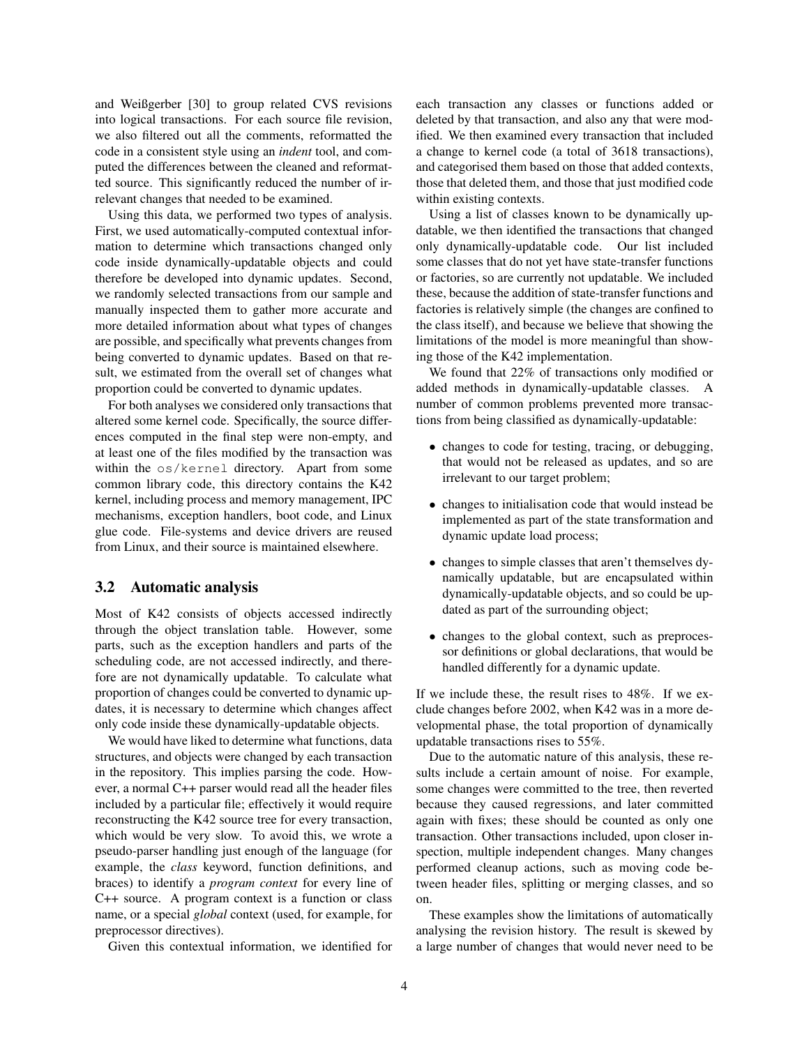and Weißgerber [30] to group related CVS revisions into logical transactions. For each source file revision, we also filtered out all the comments, reformatted the code in a consistent style using an *indent* tool, and computed the differences between the cleaned and reformatted source. This significantly reduced the number of irrelevant changes that needed to be examined.

Using this data, we performed two types of analysis. First, we used automatically-computed contextual information to determine which transactions changed only code inside dynamically-updatable objects and could therefore be developed into dynamic updates. Second, we randomly selected transactions from our sample and manually inspected them to gather more accurate and more detailed information about what types of changes are possible, and specifically what prevents changes from being converted to dynamic updates. Based on that result, we estimated from the overall set of changes what proportion could be converted to dynamic updates.

For both analyses we considered only transactions that altered some kernel code. Specifically, the source differences computed in the final step were non-empty, and at least one of the files modified by the transaction was within the os/kernel directory. Apart from some common library code, this directory contains the K42 kernel, including process and memory management, IPC mechanisms, exception handlers, boot code, and Linux glue code. File-systems and device drivers are reused from Linux, and their source is maintained elsewhere.

#### 3.2 Automatic analysis

Most of K42 consists of objects accessed indirectly through the object translation table. However, some parts, such as the exception handlers and parts of the scheduling code, are not accessed indirectly, and therefore are not dynamically updatable. To calculate what proportion of changes could be converted to dynamic updates, it is necessary to determine which changes affect only code inside these dynamically-updatable objects.

We would have liked to determine what functions, data structures, and objects were changed by each transaction in the repository. This implies parsing the code. However, a normal C++ parser would read all the header files included by a particular file; effectively it would require reconstructing the K42 source tree for every transaction, which would be very slow. To avoid this, we wrote a pseudo-parser handling just enough of the language (for example, the *class* keyword, function definitions, and braces) to identify a *program context* for every line of C++ source. A program context is a function or class name, or a special *global* context (used, for example, for preprocessor directives).

Given this contextual information, we identified for

each transaction any classes or functions added or deleted by that transaction, and also any that were modified. We then examined every transaction that included a change to kernel code (a total of 3618 transactions), and categorised them based on those that added contexts, those that deleted them, and those that just modified code within existing contexts.

Using a list of classes known to be dynamically updatable, we then identified the transactions that changed only dynamically-updatable code. Our list included some classes that do not yet have state-transfer functions or factories, so are currently not updatable. We included these, because the addition of state-transfer functions and factories is relatively simple (the changes are confined to the class itself), and because we believe that showing the limitations of the model is more meaningful than showing those of the K42 implementation.

We found that 22% of transactions only modified or added methods in dynamically-updatable classes. A number of common problems prevented more transactions from being classified as dynamically-updatable:

- changes to code for testing, tracing, or debugging, that would not be released as updates, and so are irrelevant to our target problem;
- changes to initialisation code that would instead be implemented as part of the state transformation and dynamic update load process;
- changes to simple classes that aren't themselves dynamically updatable, but are encapsulated within dynamically-updatable objects, and so could be updated as part of the surrounding object;
- changes to the global context, such as preprocessor definitions or global declarations, that would be handled differently for a dynamic update.

If we include these, the result rises to 48%. If we exclude changes before 2002, when K42 was in a more developmental phase, the total proportion of dynamically updatable transactions rises to 55%.

Due to the automatic nature of this analysis, these results include a certain amount of noise. For example, some changes were committed to the tree, then reverted because they caused regressions, and later committed again with fixes; these should be counted as only one transaction. Other transactions included, upon closer inspection, multiple independent changes. Many changes performed cleanup actions, such as moving code between header files, splitting or merging classes, and so on.

These examples show the limitations of automatically analysing the revision history. The result is skewed by a large number of changes that would never need to be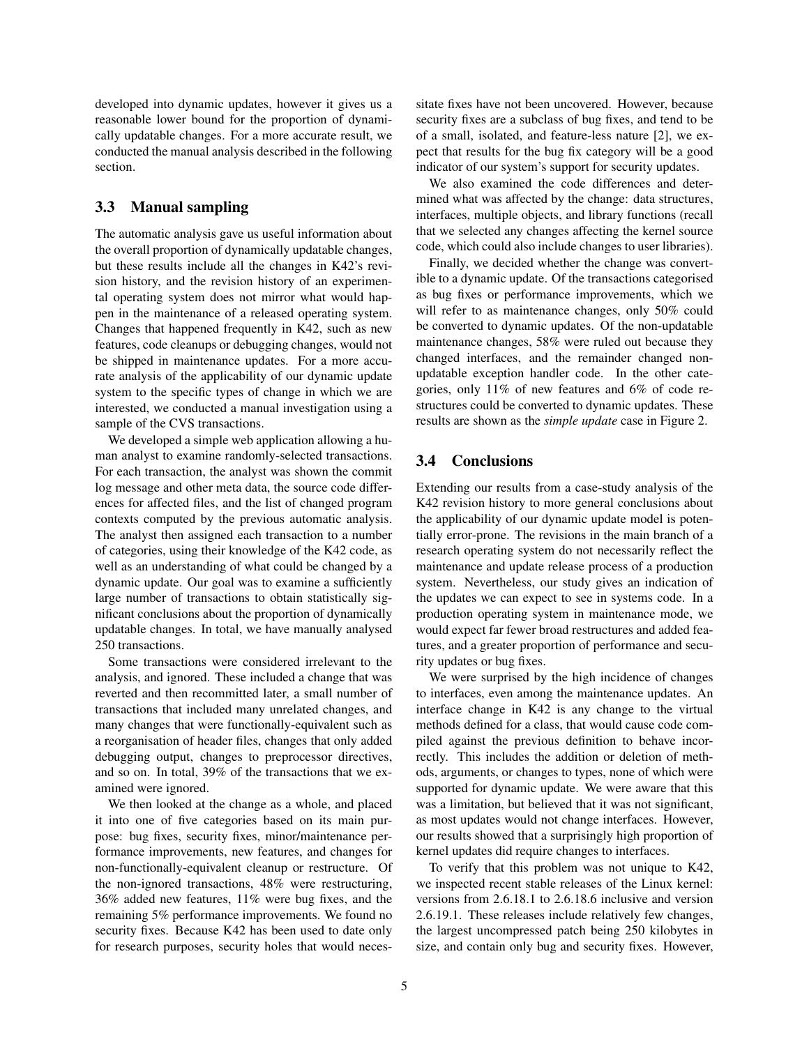developed into dynamic updates, however it gives us a reasonable lower bound for the proportion of dynamically updatable changes. For a more accurate result, we conducted the manual analysis described in the following section.

### 3.3 Manual sampling

The automatic analysis gave us useful information about the overall proportion of dynamically updatable changes, but these results include all the changes in K42's revision history, and the revision history of an experimental operating system does not mirror what would happen in the maintenance of a released operating system. Changes that happened frequently in K42, such as new features, code cleanups or debugging changes, would not be shipped in maintenance updates. For a more accurate analysis of the applicability of our dynamic update system to the specific types of change in which we are interested, we conducted a manual investigation using a sample of the CVS transactions.

We developed a simple web application allowing a human analyst to examine randomly-selected transactions. For each transaction, the analyst was shown the commit log message and other meta data, the source code differences for affected files, and the list of changed program contexts computed by the previous automatic analysis. The analyst then assigned each transaction to a number of categories, using their knowledge of the K42 code, as well as an understanding of what could be changed by a dynamic update. Our goal was to examine a sufficiently large number of transactions to obtain statistically significant conclusions about the proportion of dynamically updatable changes. In total, we have manually analysed 250 transactions.

Some transactions were considered irrelevant to the analysis, and ignored. These included a change that was reverted and then recommitted later, a small number of transactions that included many unrelated changes, and many changes that were functionally-equivalent such as a reorganisation of header files, changes that only added debugging output, changes to preprocessor directives, and so on. In total, 39% of the transactions that we examined were ignored.

We then looked at the change as a whole, and placed it into one of five categories based on its main purpose: bug fixes, security fixes, minor/maintenance performance improvements, new features, and changes for non-functionally-equivalent cleanup or restructure. Of the non-ignored transactions, 48% were restructuring, 36% added new features, 11% were bug fixes, and the remaining 5% performance improvements. We found no security fixes. Because K42 has been used to date only for research purposes, security holes that would necessitate fixes have not been uncovered. However, because security fixes are a subclass of bug fixes, and tend to be of a small, isolated, and feature-less nature [2], we expect that results for the bug fix category will be a good indicator of our system's support for security updates.

We also examined the code differences and determined what was affected by the change: data structures, interfaces, multiple objects, and library functions (recall that we selected any changes affecting the kernel source code, which could also include changes to user libraries).

Finally, we decided whether the change was convertible to a dynamic update. Of the transactions categorised as bug fixes or performance improvements, which we will refer to as maintenance changes, only 50% could be converted to dynamic updates. Of the non-updatable maintenance changes, 58% were ruled out because they changed interfaces, and the remainder changed nonupdatable exception handler code. In the other categories, only 11% of new features and 6% of code restructures could be converted to dynamic updates. These results are shown as the *simple update* case in Figure 2.

### 3.4 Conclusions

Extending our results from a case-study analysis of the K42 revision history to more general conclusions about the applicability of our dynamic update model is potentially error-prone. The revisions in the main branch of a research operating system do not necessarily reflect the maintenance and update release process of a production system. Nevertheless, our study gives an indication of the updates we can expect to see in systems code. In a production operating system in maintenance mode, we would expect far fewer broad restructures and added features, and a greater proportion of performance and security updates or bug fixes.

We were surprised by the high incidence of changes to interfaces, even among the maintenance updates. An interface change in K42 is any change to the virtual methods defined for a class, that would cause code compiled against the previous definition to behave incorrectly. This includes the addition or deletion of methods, arguments, or changes to types, none of which were supported for dynamic update. We were aware that this was a limitation, but believed that it was not significant, as most updates would not change interfaces. However, our results showed that a surprisingly high proportion of kernel updates did require changes to interfaces.

To verify that this problem was not unique to K42, we inspected recent stable releases of the Linux kernel: versions from 2.6.18.1 to 2.6.18.6 inclusive and version 2.6.19.1. These releases include relatively few changes, the largest uncompressed patch being 250 kilobytes in size, and contain only bug and security fixes. However,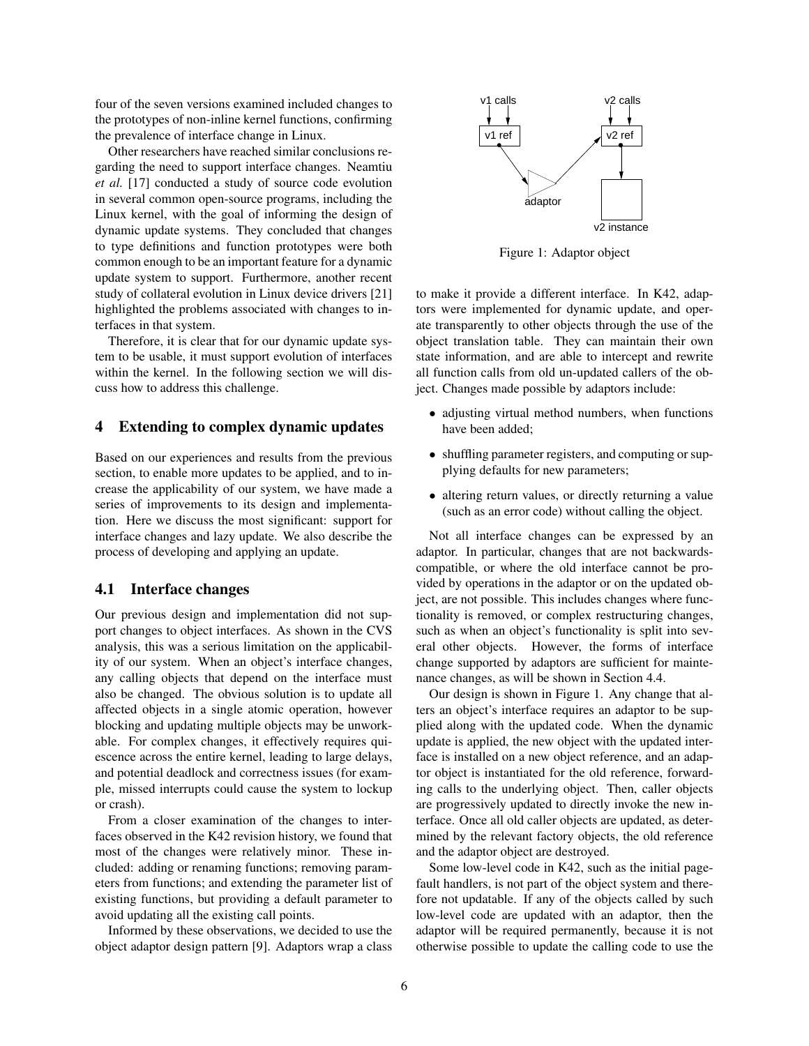four of the seven versions examined included changes to the prototypes of non-inline kernel functions, confirming the prevalence of interface change in Linux.

Other researchers have reached similar conclusions regarding the need to support interface changes. Neamtiu *et al.* [17] conducted a study of source code evolution in several common open-source programs, including the Linux kernel, with the goal of informing the design of dynamic update systems. They concluded that changes to type definitions and function prototypes were both common enough to be an important feature for a dynamic update system to support. Furthermore, another recent study of collateral evolution in Linux device drivers [21] highlighted the problems associated with changes to interfaces in that system.

Therefore, it is clear that for our dynamic update system to be usable, it must support evolution of interfaces within the kernel. In the following section we will discuss how to address this challenge.

#### 4 Extending to complex dynamic updates

Based on our experiences and results from the previous section, to enable more updates to be applied, and to increase the applicability of our system, we have made a series of improvements to its design and implementation. Here we discuss the most significant: support for interface changes and lazy update. We also describe the process of developing and applying an update.

#### 4.1 Interface changes

Our previous design and implementation did not support changes to object interfaces. As shown in the CVS analysis, this was a serious limitation on the applicability of our system. When an object's interface changes, any calling objects that depend on the interface must also be changed. The obvious solution is to update all affected objects in a single atomic operation, however blocking and updating multiple objects may be unworkable. For complex changes, it effectively requires quiescence across the entire kernel, leading to large delays, and potential deadlock and correctness issues (for example, missed interrupts could cause the system to lockup or crash).

From a closer examination of the changes to interfaces observed in the K42 revision history, we found that most of the changes were relatively minor. These included: adding or renaming functions; removing parameters from functions; and extending the parameter list of existing functions, but providing a default parameter to avoid updating all the existing call points.

Informed by these observations, we decided to use the object adaptor design pattern [9]. Adaptors wrap a class



Figure 1: Adaptor object

to make it provide a different interface. In K42, adaptors were implemented for dynamic update, and operate transparently to other objects through the use of the object translation table. They can maintain their own state information, and are able to intercept and rewrite all function calls from old un-updated callers of the object. Changes made possible by adaptors include:

- adjusting virtual method numbers, when functions have been added;
- shuffling parameter registers, and computing or supplying defaults for new parameters;
- altering return values, or directly returning a value (such as an error code) without calling the object.

Not all interface changes can be expressed by an adaptor. In particular, changes that are not backwardscompatible, or where the old interface cannot be provided by operations in the adaptor or on the updated object, are not possible. This includes changes where functionality is removed, or complex restructuring changes, such as when an object's functionality is split into several other objects. However, the forms of interface change supported by adaptors are sufficient for maintenance changes, as will be shown in Section 4.4.

Our design is shown in Figure 1. Any change that alters an object's interface requires an adaptor to be supplied along with the updated code. When the dynamic update is applied, the new object with the updated interface is installed on a new object reference, and an adaptor object is instantiated for the old reference, forwarding calls to the underlying object. Then, caller objects are progressively updated to directly invoke the new interface. Once all old caller objects are updated, as determined by the relevant factory objects, the old reference and the adaptor object are destroyed.

Some low-level code in K42, such as the initial pagefault handlers, is not part of the object system and therefore not updatable. If any of the objects called by such low-level code are updated with an adaptor, then the adaptor will be required permanently, because it is not otherwise possible to update the calling code to use the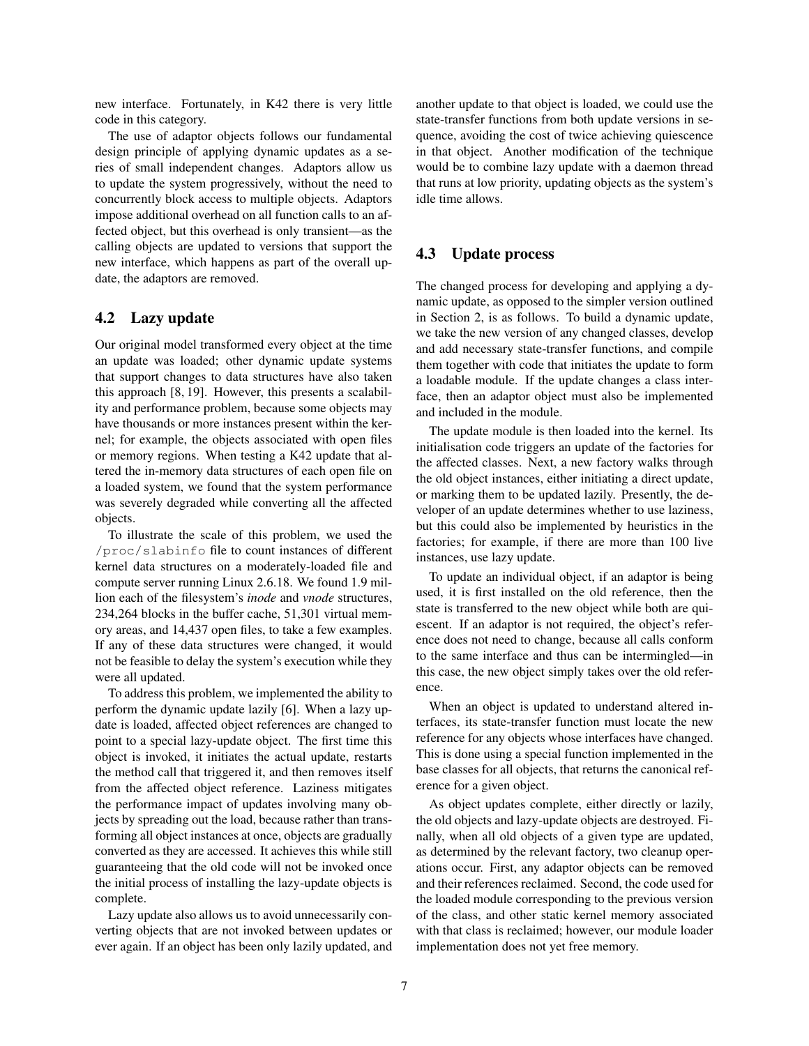new interface. Fortunately, in K42 there is very little code in this category.

The use of adaptor objects follows our fundamental design principle of applying dynamic updates as a series of small independent changes. Adaptors allow us to update the system progressively, without the need to concurrently block access to multiple objects. Adaptors impose additional overhead on all function calls to an affected object, but this overhead is only transient—as the calling objects are updated to versions that support the new interface, which happens as part of the overall update, the adaptors are removed.

### 4.2 Lazy update

Our original model transformed every object at the time an update was loaded; other dynamic update systems that support changes to data structures have also taken this approach [8, 19]. However, this presents a scalability and performance problem, because some objects may have thousands or more instances present within the kernel; for example, the objects associated with open files or memory regions. When testing a K42 update that altered the in-memory data structures of each open file on a loaded system, we found that the system performance was severely degraded while converting all the affected objects.

To illustrate the scale of this problem, we used the /proc/slabinfo file to count instances of different kernel data structures on a moderately-loaded file and compute server running Linux 2.6.18. We found 1.9 million each of the filesystem's *inode* and *vnode* structures, 234,264 blocks in the buffer cache, 51,301 virtual memory areas, and 14,437 open files, to take a few examples. If any of these data structures were changed, it would not be feasible to delay the system's execution while they were all updated.

To address this problem, we implemented the ability to perform the dynamic update lazily [6]. When a lazy update is loaded, affected object references are changed to point to a special lazy-update object. The first time this object is invoked, it initiates the actual update, restarts the method call that triggered it, and then removes itself from the affected object reference. Laziness mitigates the performance impact of updates involving many objects by spreading out the load, because rather than transforming all object instances at once, objects are gradually converted as they are accessed. It achieves this while still guaranteeing that the old code will not be invoked once the initial process of installing the lazy-update objects is complete.

Lazy update also allows us to avoid unnecessarily converting objects that are not invoked between updates or ever again. If an object has been only lazily updated, and another update to that object is loaded, we could use the state-transfer functions from both update versions in sequence, avoiding the cost of twice achieving quiescence in that object. Another modification of the technique would be to combine lazy update with a daemon thread that runs at low priority, updating objects as the system's idle time allows.

### 4.3 Update process

The changed process for developing and applying a dynamic update, as opposed to the simpler version outlined in Section 2, is as follows. To build a dynamic update, we take the new version of any changed classes, develop and add necessary state-transfer functions, and compile them together with code that initiates the update to form a loadable module. If the update changes a class interface, then an adaptor object must also be implemented and included in the module.

The update module is then loaded into the kernel. Its initialisation code triggers an update of the factories for the affected classes. Next, a new factory walks through the old object instances, either initiating a direct update, or marking them to be updated lazily. Presently, the developer of an update determines whether to use laziness, but this could also be implemented by heuristics in the factories; for example, if there are more than 100 live instances, use lazy update.

To update an individual object, if an adaptor is being used, it is first installed on the old reference, then the state is transferred to the new object while both are quiescent. If an adaptor is not required, the object's reference does not need to change, because all calls conform to the same interface and thus can be intermingled—in this case, the new object simply takes over the old reference.

When an object is updated to understand altered interfaces, its state-transfer function must locate the new reference for any objects whose interfaces have changed. This is done using a special function implemented in the base classes for all objects, that returns the canonical reference for a given object.

As object updates complete, either directly or lazily, the old objects and lazy-update objects are destroyed. Finally, when all old objects of a given type are updated, as determined by the relevant factory, two cleanup operations occur. First, any adaptor objects can be removed and their references reclaimed. Second, the code used for the loaded module corresponding to the previous version of the class, and other static kernel memory associated with that class is reclaimed; however, our module loader implementation does not yet free memory.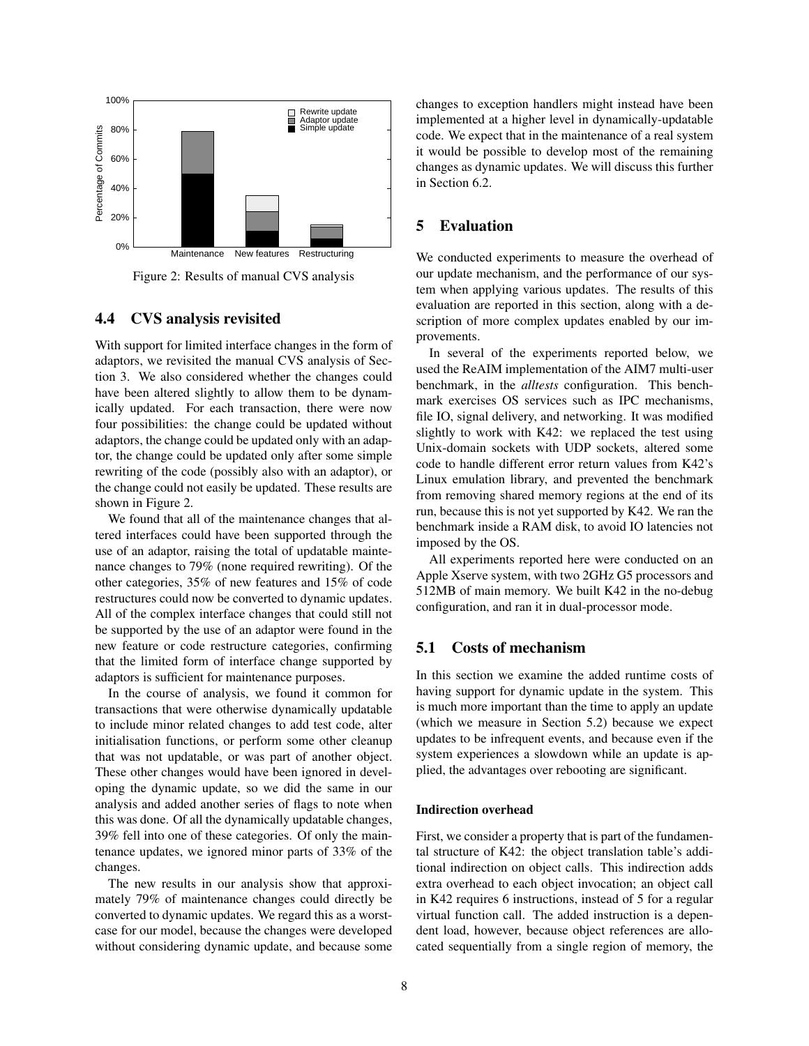

Figure 2: Results of manual CVS analysis

# 4.4 CVS analysis revisited

With support for limited interface changes in the form of adaptors, we revisited the manual CVS analysis of Section 3. We also considered whether the changes could have been altered slightly to allow them to be dynamically updated. For each transaction, there were now four possibilities: the change could be updated without adaptors, the change could be updated only with an adaptor, the change could be updated only after some simple rewriting of the code (possibly also with an adaptor), or the change could not easily be updated. These results are shown in Figure 2.

We found that all of the maintenance changes that altered interfaces could have been supported through the use of an adaptor, raising the total of updatable maintenance changes to 79% (none required rewriting). Of the other categories, 35% of new features and 15% of code restructures could now be converted to dynamic updates. All of the complex interface changes that could still not be supported by the use of an adaptor were found in the new feature or code restructure categories, confirming that the limited form of interface change supported by adaptors is sufficient for maintenance purposes.

In the course of analysis, we found it common for transactions that were otherwise dynamically updatable to include minor related changes to add test code, alter initialisation functions, or perform some other cleanup that was not updatable, or was part of another object. These other changes would have been ignored in developing the dynamic update, so we did the same in our analysis and added another series of flags to note when this was done. Of all the dynamically updatable changes, 39% fell into one of these categories. Of only the maintenance updates, we ignored minor parts of 33% of the changes.

The new results in our analysis show that approximately 79% of maintenance changes could directly be converted to dynamic updates. We regard this as a worstcase for our model, because the changes were developed without considering dynamic update, and because some changes to exception handlers might instead have been implemented at a higher level in dynamically-updatable code. We expect that in the maintenance of a real system it would be possible to develop most of the remaining changes as dynamic updates. We will discuss this further in Section 6.2.

# 5 Evaluation

We conducted experiments to measure the overhead of our update mechanism, and the performance of our system when applying various updates. The results of this evaluation are reported in this section, along with a description of more complex updates enabled by our improvements.

In several of the experiments reported below, we used the ReAIM implementation of the AIM7 multi-user benchmark, in the *alltests* configuration. This benchmark exercises OS services such as IPC mechanisms, file IO, signal delivery, and networking. It was modified slightly to work with K42: we replaced the test using Unix-domain sockets with UDP sockets, altered some code to handle different error return values from K42's Linux emulation library, and prevented the benchmark from removing shared memory regions at the end of its run, because this is not yet supported by K42. We ran the benchmark inside a RAM disk, to avoid IO latencies not imposed by the OS.

All experiments reported here were conducted on an Apple Xserve system, with two 2GHz G5 processors and 512MB of main memory. We built K42 in the no-debug configuration, and ran it in dual-processor mode.

### 5.1 Costs of mechanism

In this section we examine the added runtime costs of having support for dynamic update in the system. This is much more important than the time to apply an update (which we measure in Section 5.2) because we expect updates to be infrequent events, and because even if the system experiences a slowdown while an update is applied, the advantages over rebooting are significant.

#### Indirection overhead

First, we consider a property that is part of the fundamental structure of K42: the object translation table's additional indirection on object calls. This indirection adds extra overhead to each object invocation; an object call in K42 requires 6 instructions, instead of 5 for a regular virtual function call. The added instruction is a dependent load, however, because object references are allocated sequentially from a single region of memory, the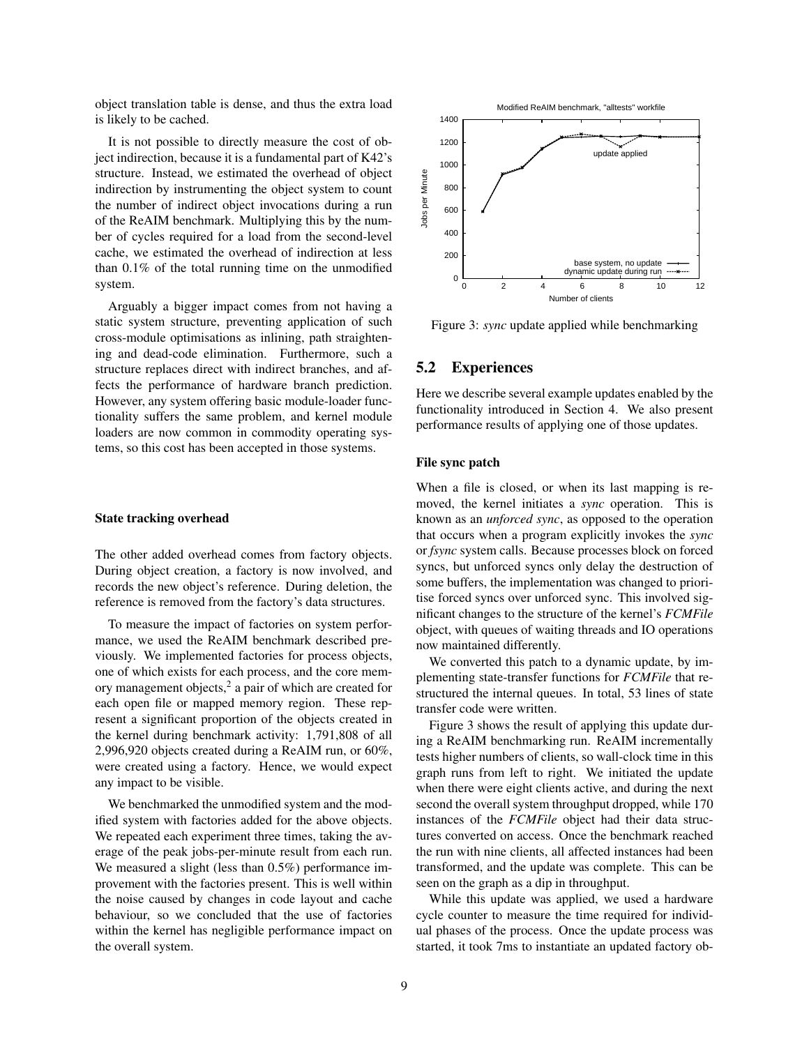object translation table is dense, and thus the extra load is likely to be cached.

It is not possible to directly measure the cost of object indirection, because it is a fundamental part of K42's structure. Instead, we estimated the overhead of object indirection by instrumenting the object system to count the number of indirect object invocations during a run of the ReAIM benchmark. Multiplying this by the number of cycles required for a load from the second-level cache, we estimated the overhead of indirection at less than 0.1% of the total running time on the unmodified system.

Arguably a bigger impact comes from not having a static system structure, preventing application of such cross-module optimisations as inlining, path straightening and dead-code elimination. Furthermore, such a structure replaces direct with indirect branches, and affects the performance of hardware branch prediction. However, any system offering basic module-loader functionality suffers the same problem, and kernel module loaders are now common in commodity operating systems, so this cost has been accepted in those systems.

#### State tracking overhead

The other added overhead comes from factory objects. During object creation, a factory is now involved, and records the new object's reference. During deletion, the reference is removed from the factory's data structures.

To measure the impact of factories on system performance, we used the ReAIM benchmark described previously. We implemented factories for process objects, one of which exists for each process, and the core memory management objects,<sup>2</sup> a pair of which are created for each open file or mapped memory region. These represent a significant proportion of the objects created in the kernel during benchmark activity: 1,791,808 of all 2,996,920 objects created during a ReAIM run, or 60%, were created using a factory. Hence, we would expect any impact to be visible.

We benchmarked the unmodified system and the modified system with factories added for the above objects. We repeated each experiment three times, taking the average of the peak jobs-per-minute result from each run. We measured a slight (less than  $0.5\%$ ) performance improvement with the factories present. This is well within the noise caused by changes in code layout and cache behaviour, so we concluded that the use of factories within the kernel has negligible performance impact on the overall system.



Figure 3: *sync* update applied while benchmarking

#### 5.2 Experiences

Here we describe several example updates enabled by the functionality introduced in Section 4. We also present performance results of applying one of those updates.

#### File sync patch

When a file is closed, or when its last mapping is removed, the kernel initiates a *sync* operation. This is known as an *unforced sync*, as opposed to the operation that occurs when a program explicitly invokes the *sync* or *fsync* system calls. Because processes block on forced syncs, but unforced syncs only delay the destruction of some buffers, the implementation was changed to prioritise forced syncs over unforced sync. This involved significant changes to the structure of the kernel's *FCMFile* object, with queues of waiting threads and IO operations now maintained differently.

We converted this patch to a dynamic update, by implementing state-transfer functions for *FCMFile* that restructured the internal queues. In total, 53 lines of state transfer code were written.

Figure 3 shows the result of applying this update during a ReAIM benchmarking run. ReAIM incrementally tests higher numbers of clients, so wall-clock time in this graph runs from left to right. We initiated the update when there were eight clients active, and during the next second the overall system throughput dropped, while 170 instances of the *FCMFile* object had their data structures converted on access. Once the benchmark reached the run with nine clients, all affected instances had been transformed, and the update was complete. This can be seen on the graph as a dip in throughput.

While this update was applied, we used a hardware cycle counter to measure the time required for individual phases of the process. Once the update process was started, it took 7ms to instantiate an updated factory ob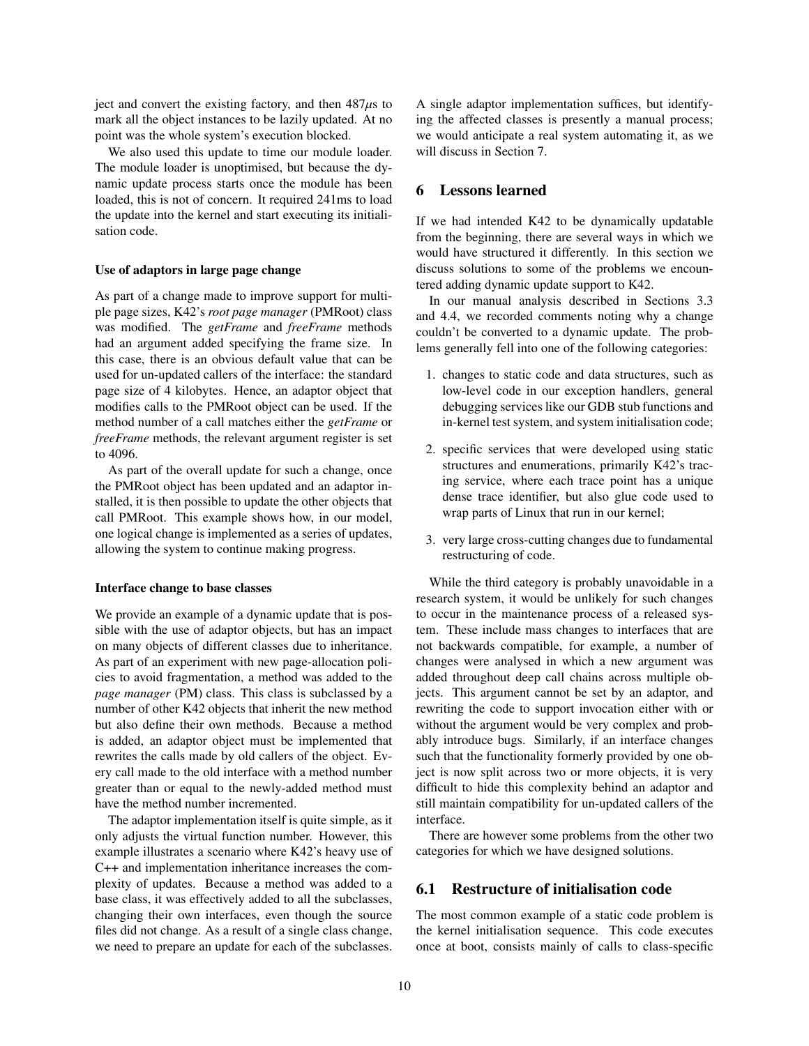ject and convert the existing factory, and then  $487\mu s$  to mark all the object instances to be lazily updated. At no point was the whole system's execution blocked.

We also used this update to time our module loader. The module loader is unoptimised, but because the dynamic update process starts once the module has been loaded, this is not of concern. It required 241ms to load the update into the kernel and start executing its initialisation code.

#### Use of adaptors in large page change

As part of a change made to improve support for multiple page sizes, K42's *root page manager* (PMRoot) class was modified. The *getFrame* and *freeFrame* methods had an argument added specifying the frame size. In this case, there is an obvious default value that can be used for un-updated callers of the interface: the standard page size of 4 kilobytes. Hence, an adaptor object that modifies calls to the PMRoot object can be used. If the method number of a call matches either the *getFrame* or *freeFrame* methods, the relevant argument register is set to 4096.

As part of the overall update for such a change, once the PMRoot object has been updated and an adaptor installed, it is then possible to update the other objects that call PMRoot. This example shows how, in our model, one logical change is implemented as a series of updates, allowing the system to continue making progress.

#### Interface change to base classes

We provide an example of a dynamic update that is possible with the use of adaptor objects, but has an impact on many objects of different classes due to inheritance. As part of an experiment with new page-allocation policies to avoid fragmentation, a method was added to the *page manager* (PM) class. This class is subclassed by a number of other K42 objects that inherit the new method but also define their own methods. Because a method is added, an adaptor object must be implemented that rewrites the calls made by old callers of the object. Every call made to the old interface with a method number greater than or equal to the newly-added method must have the method number incremented.

The adaptor implementation itself is quite simple, as it only adjusts the virtual function number. However, this example illustrates a scenario where K42's heavy use of C++ and implementation inheritance increases the complexity of updates. Because a method was added to a base class, it was effectively added to all the subclasses, changing their own interfaces, even though the source files did not change. As a result of a single class change, we need to prepare an update for each of the subclasses. A single adaptor implementation suffices, but identifying the affected classes is presently a manual process; we would anticipate a real system automating it, as we will discuss in Section 7.

#### 6 Lessons learned

If we had intended K42 to be dynamically updatable from the beginning, there are several ways in which we would have structured it differently. In this section we discuss solutions to some of the problems we encountered adding dynamic update support to K42.

In our manual analysis described in Sections 3.3 and 4.4, we recorded comments noting why a change couldn't be converted to a dynamic update. The problems generally fell into one of the following categories:

- 1. changes to static code and data structures, such as low-level code in our exception handlers, general debugging services like our GDB stub functions and in-kernel test system, and system initialisation code;
- 2. specific services that were developed using static structures and enumerations, primarily K42's tracing service, where each trace point has a unique dense trace identifier, but also glue code used to wrap parts of Linux that run in our kernel;
- 3. very large cross-cutting changes due to fundamental restructuring of code.

While the third category is probably unavoidable in a research system, it would be unlikely for such changes to occur in the maintenance process of a released system. These include mass changes to interfaces that are not backwards compatible, for example, a number of changes were analysed in which a new argument was added throughout deep call chains across multiple objects. This argument cannot be set by an adaptor, and rewriting the code to support invocation either with or without the argument would be very complex and probably introduce bugs. Similarly, if an interface changes such that the functionality formerly provided by one object is now split across two or more objects, it is very difficult to hide this complexity behind an adaptor and still maintain compatibility for un-updated callers of the interface.

There are however some problems from the other two categories for which we have designed solutions.

### 6.1 Restructure of initialisation code

The most common example of a static code problem is the kernel initialisation sequence. This code executes once at boot, consists mainly of calls to class-specific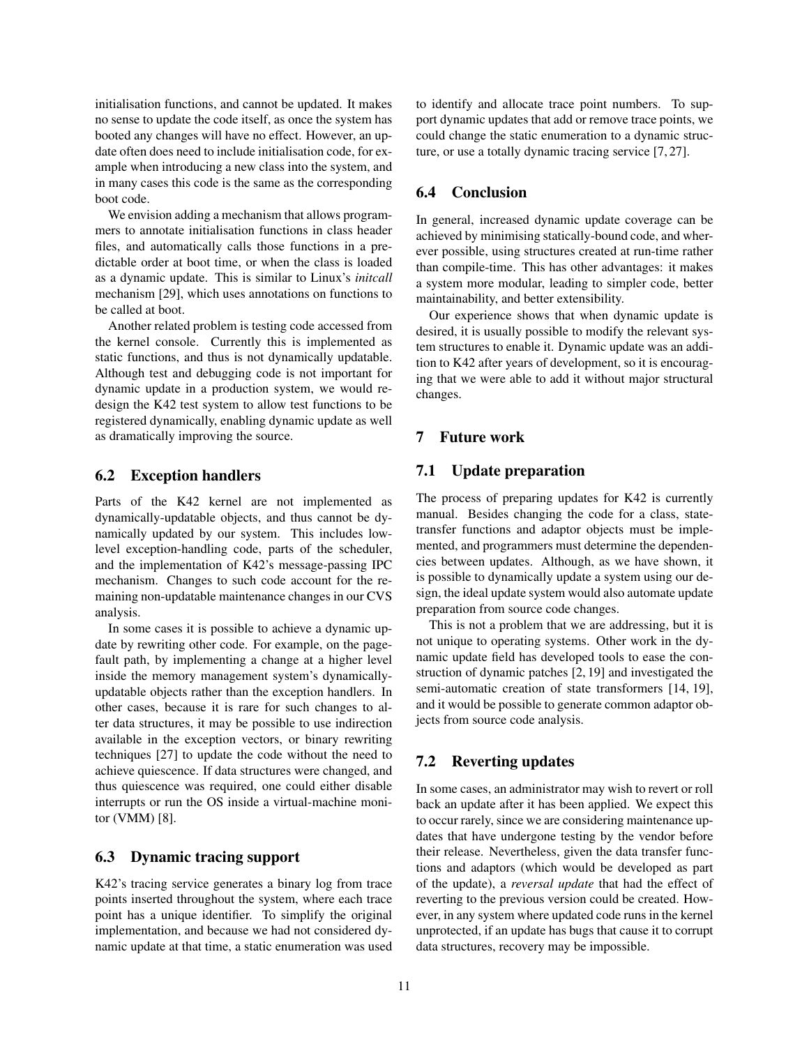initialisation functions, and cannot be updated. It makes no sense to update the code itself, as once the system has booted any changes will have no effect. However, an update often does need to include initialisation code, for example when introducing a new class into the system, and in many cases this code is the same as the corresponding boot code.

We envision adding a mechanism that allows programmers to annotate initialisation functions in class header files, and automatically calls those functions in a predictable order at boot time, or when the class is loaded as a dynamic update. This is similar to Linux's *initcall* mechanism [29], which uses annotations on functions to be called at boot.

Another related problem is testing code accessed from the kernel console. Currently this is implemented as static functions, and thus is not dynamically updatable. Although test and debugging code is not important for dynamic update in a production system, we would redesign the K42 test system to allow test functions to be registered dynamically, enabling dynamic update as well as dramatically improving the source.

### 6.2 Exception handlers

Parts of the K42 kernel are not implemented as dynamically-updatable objects, and thus cannot be dynamically updated by our system. This includes lowlevel exception-handling code, parts of the scheduler, and the implementation of K42's message-passing IPC mechanism. Changes to such code account for the remaining non-updatable maintenance changes in our CVS analysis.

In some cases it is possible to achieve a dynamic update by rewriting other code. For example, on the pagefault path, by implementing a change at a higher level inside the memory management system's dynamicallyupdatable objects rather than the exception handlers. In other cases, because it is rare for such changes to alter data structures, it may be possible to use indirection available in the exception vectors, or binary rewriting techniques [27] to update the code without the need to achieve quiescence. If data structures were changed, and thus quiescence was required, one could either disable interrupts or run the OS inside a virtual-machine monitor (VMM) [8].

### 6.3 Dynamic tracing support

K42's tracing service generates a binary log from trace points inserted throughout the system, where each trace point has a unique identifier. To simplify the original implementation, and because we had not considered dynamic update at that time, a static enumeration was used to identify and allocate trace point numbers. To support dynamic updates that add or remove trace points, we could change the static enumeration to a dynamic structure, or use a totally dynamic tracing service [7, 27].

### 6.4 Conclusion

In general, increased dynamic update coverage can be achieved by minimising statically-bound code, and wherever possible, using structures created at run-time rather than compile-time. This has other advantages: it makes a system more modular, leading to simpler code, better maintainability, and better extensibility.

Our experience shows that when dynamic update is desired, it is usually possible to modify the relevant system structures to enable it. Dynamic update was an addition to K42 after years of development, so it is encouraging that we were able to add it without major structural changes.

# 7 Future work

# 7.1 Update preparation

The process of preparing updates for K42 is currently manual. Besides changing the code for a class, statetransfer functions and adaptor objects must be implemented, and programmers must determine the dependencies between updates. Although, as we have shown, it is possible to dynamically update a system using our design, the ideal update system would also automate update preparation from source code changes.

This is not a problem that we are addressing, but it is not unique to operating systems. Other work in the dynamic update field has developed tools to ease the construction of dynamic patches [2, 19] and investigated the semi-automatic creation of state transformers [14, 19], and it would be possible to generate common adaptor objects from source code analysis.

### 7.2 Reverting updates

In some cases, an administrator may wish to revert or roll back an update after it has been applied. We expect this to occur rarely, since we are considering maintenance updates that have undergone testing by the vendor before their release. Nevertheless, given the data transfer functions and adaptors (which would be developed as part of the update), a *reversal update* that had the effect of reverting to the previous version could be created. However, in any system where updated code runs in the kernel unprotected, if an update has bugs that cause it to corrupt data structures, recovery may be impossible.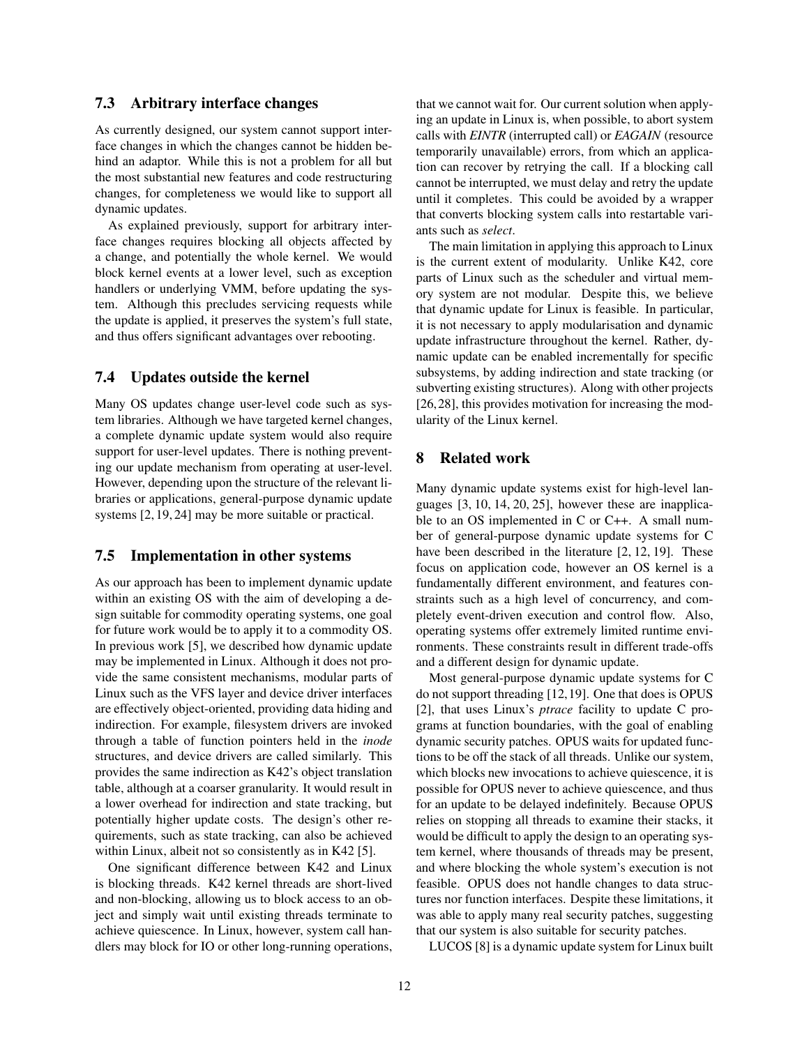### 7.3 Arbitrary interface changes

As currently designed, our system cannot support interface changes in which the changes cannot be hidden behind an adaptor. While this is not a problem for all but the most substantial new features and code restructuring changes, for completeness we would like to support all dynamic updates.

As explained previously, support for arbitrary interface changes requires blocking all objects affected by a change, and potentially the whole kernel. We would block kernel events at a lower level, such as exception handlers or underlying VMM, before updating the system. Although this precludes servicing requests while the update is applied, it preserves the system's full state, and thus offers significant advantages over rebooting.

# 7.4 Updates outside the kernel

Many OS updates change user-level code such as system libraries. Although we have targeted kernel changes, a complete dynamic update system would also require support for user-level updates. There is nothing preventing our update mechanism from operating at user-level. However, depending upon the structure of the relevant libraries or applications, general-purpose dynamic update systems [2, 19, 24] may be more suitable or practical.

#### 7.5 Implementation in other systems

As our approach has been to implement dynamic update within an existing OS with the aim of developing a design suitable for commodity operating systems, one goal for future work would be to apply it to a commodity OS. In previous work [5], we described how dynamic update may be implemented in Linux. Although it does not provide the same consistent mechanisms, modular parts of Linux such as the VFS layer and device driver interfaces are effectively object-oriented, providing data hiding and indirection. For example, filesystem drivers are invoked through a table of function pointers held in the *inode* structures, and device drivers are called similarly. This provides the same indirection as K42's object translation table, although at a coarser granularity. It would result in a lower overhead for indirection and state tracking, but potentially higher update costs. The design's other requirements, such as state tracking, can also be achieved within Linux, albeit not so consistently as in K42 [5].

One significant difference between K42 and Linux is blocking threads. K42 kernel threads are short-lived and non-blocking, allowing us to block access to an object and simply wait until existing threads terminate to achieve quiescence. In Linux, however, system call handlers may block for IO or other long-running operations, that we cannot wait for. Our current solution when applying an update in Linux is, when possible, to abort system calls with *EINTR* (interrupted call) or *EAGAIN* (resource temporarily unavailable) errors, from which an application can recover by retrying the call. If a blocking call cannot be interrupted, we must delay and retry the update until it completes. This could be avoided by a wrapper that converts blocking system calls into restartable variants such as *select*.

The main limitation in applying this approach to Linux is the current extent of modularity. Unlike K42, core parts of Linux such as the scheduler and virtual memory system are not modular. Despite this, we believe that dynamic update for Linux is feasible. In particular, it is not necessary to apply modularisation and dynamic update infrastructure throughout the kernel. Rather, dynamic update can be enabled incrementally for specific subsystems, by adding indirection and state tracking (or subverting existing structures). Along with other projects [26,28], this provides motivation for increasing the modularity of the Linux kernel.

# 8 Related work

Many dynamic update systems exist for high-level languages [3, 10, 14, 20, 25], however these are inapplicable to an OS implemented in C or C++. A small number of general-purpose dynamic update systems for C have been described in the literature [2, 12, 19]. These focus on application code, however an OS kernel is a fundamentally different environment, and features constraints such as a high level of concurrency, and completely event-driven execution and control flow. Also, operating systems offer extremely limited runtime environments. These constraints result in different trade-offs and a different design for dynamic update.

Most general-purpose dynamic update systems for C do not support threading [12,19]. One that does is OPUS [2], that uses Linux's *ptrace* facility to update C programs at function boundaries, with the goal of enabling dynamic security patches. OPUS waits for updated functions to be off the stack of all threads. Unlike our system, which blocks new invocations to achieve quiescence, it is possible for OPUS never to achieve quiescence, and thus for an update to be delayed indefinitely. Because OPUS relies on stopping all threads to examine their stacks, it would be difficult to apply the design to an operating system kernel, where thousands of threads may be present, and where blocking the whole system's execution is not feasible. OPUS does not handle changes to data structures nor function interfaces. Despite these limitations, it was able to apply many real security patches, suggesting that our system is also suitable for security patches.

LUCOS [8] is a dynamic update system for Linux built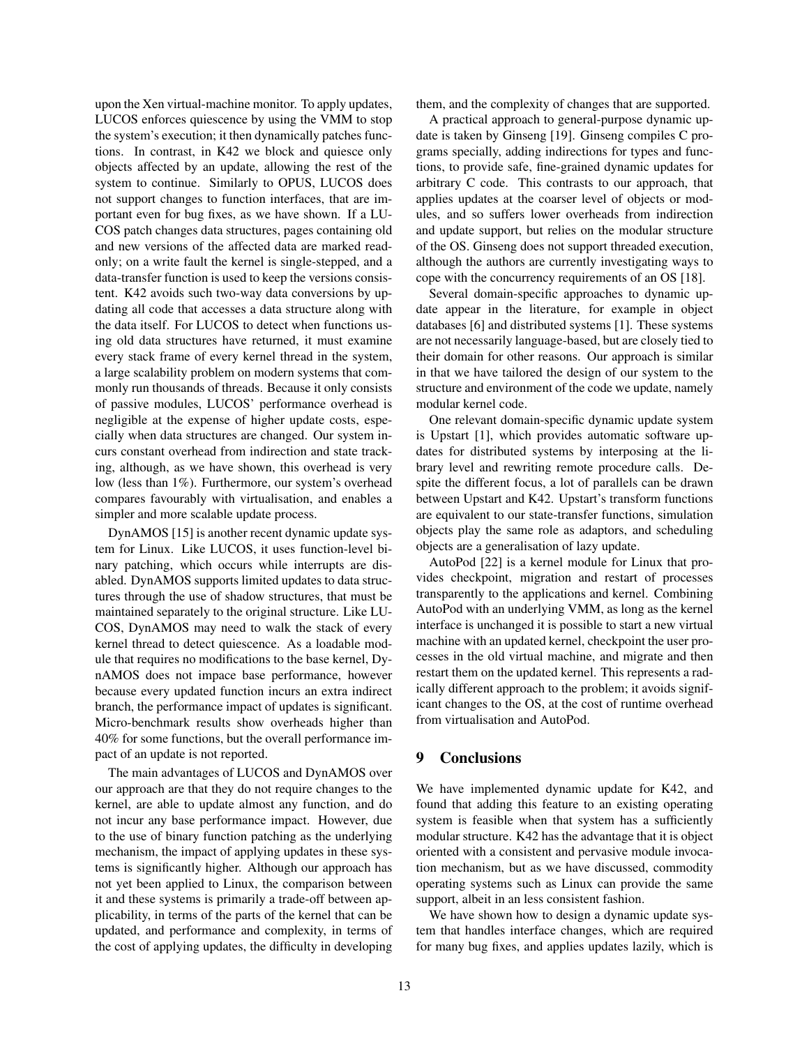upon the Xen virtual-machine monitor. To apply updates, LUCOS enforces quiescence by using the VMM to stop the system's execution; it then dynamically patches functions. In contrast, in K42 we block and quiesce only objects affected by an update, allowing the rest of the system to continue. Similarly to OPUS, LUCOS does not support changes to function interfaces, that are important even for bug fixes, as we have shown. If a LU-COS patch changes data structures, pages containing old and new versions of the affected data are marked readonly; on a write fault the kernel is single-stepped, and a data-transfer function is used to keep the versions consistent. K42 avoids such two-way data conversions by updating all code that accesses a data structure along with the data itself. For LUCOS to detect when functions using old data structures have returned, it must examine every stack frame of every kernel thread in the system, a large scalability problem on modern systems that commonly run thousands of threads. Because it only consists of passive modules, LUCOS' performance overhead is negligible at the expense of higher update costs, especially when data structures are changed. Our system incurs constant overhead from indirection and state tracking, although, as we have shown, this overhead is very low (less than 1%). Furthermore, our system's overhead compares favourably with virtualisation, and enables a simpler and more scalable update process.

DynAMOS [15] is another recent dynamic update system for Linux. Like LUCOS, it uses function-level binary patching, which occurs while interrupts are disabled. DynAMOS supports limited updates to data structures through the use of shadow structures, that must be maintained separately to the original structure. Like LU-COS, DynAMOS may need to walk the stack of every kernel thread to detect quiescence. As a loadable module that requires no modifications to the base kernel, DynAMOS does not impace base performance, however because every updated function incurs an extra indirect branch, the performance impact of updates is significant. Micro-benchmark results show overheads higher than 40% for some functions, but the overall performance impact of an update is not reported.

The main advantages of LUCOS and DynAMOS over our approach are that they do not require changes to the kernel, are able to update almost any function, and do not incur any base performance impact. However, due to the use of binary function patching as the underlying mechanism, the impact of applying updates in these systems is significantly higher. Although our approach has not yet been applied to Linux, the comparison between it and these systems is primarily a trade-off between applicability, in terms of the parts of the kernel that can be updated, and performance and complexity, in terms of the cost of applying updates, the difficulty in developing them, and the complexity of changes that are supported.

A practical approach to general-purpose dynamic update is taken by Ginseng [19]. Ginseng compiles C programs specially, adding indirections for types and functions, to provide safe, fine-grained dynamic updates for arbitrary C code. This contrasts to our approach, that applies updates at the coarser level of objects or modules, and so suffers lower overheads from indirection and update support, but relies on the modular structure of the OS. Ginseng does not support threaded execution, although the authors are currently investigating ways to cope with the concurrency requirements of an OS [18].

Several domain-specific approaches to dynamic update appear in the literature, for example in object databases [6] and distributed systems [1]. These systems are not necessarily language-based, but are closely tied to their domain for other reasons. Our approach is similar in that we have tailored the design of our system to the structure and environment of the code we update, namely modular kernel code.

One relevant domain-specific dynamic update system is Upstart [1], which provides automatic software updates for distributed systems by interposing at the library level and rewriting remote procedure calls. Despite the different focus, a lot of parallels can be drawn between Upstart and K42. Upstart's transform functions are equivalent to our state-transfer functions, simulation objects play the same role as adaptors, and scheduling objects are a generalisation of lazy update.

AutoPod [22] is a kernel module for Linux that provides checkpoint, migration and restart of processes transparently to the applications and kernel. Combining AutoPod with an underlying VMM, as long as the kernel interface is unchanged it is possible to start a new virtual machine with an updated kernel, checkpoint the user processes in the old virtual machine, and migrate and then restart them on the updated kernel. This represents a radically different approach to the problem; it avoids significant changes to the OS, at the cost of runtime overhead from virtualisation and AutoPod.

### 9 Conclusions

We have implemented dynamic update for K42, and found that adding this feature to an existing operating system is feasible when that system has a sufficiently modular structure. K42 has the advantage that it is object oriented with a consistent and pervasive module invocation mechanism, but as we have discussed, commodity operating systems such as Linux can provide the same support, albeit in an less consistent fashion.

We have shown how to design a dynamic update system that handles interface changes, which are required for many bug fixes, and applies updates lazily, which is